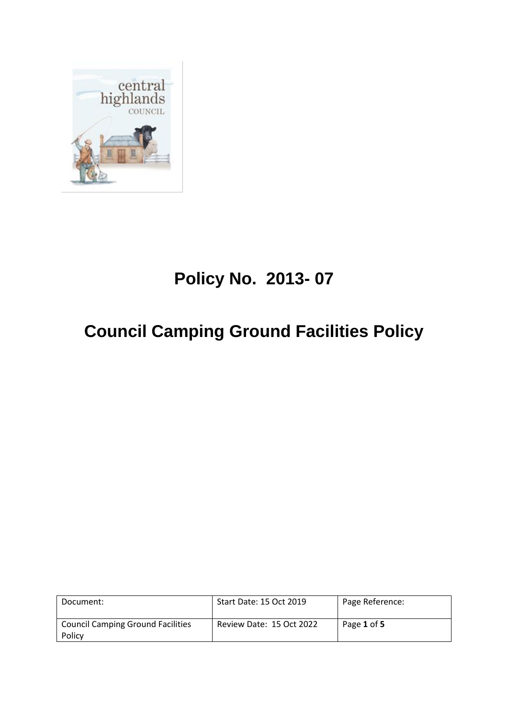

# **Policy No. 2013- 07**

# **Council Camping Ground Facilities Policy**

| Document:                                          | Start Date: 15 Oct 2019  | Page Reference: |
|----------------------------------------------------|--------------------------|-----------------|
| <b>Council Camping Ground Facilities</b><br>Policy | Review Date: 15 Oct 2022 | Page 1 of 5     |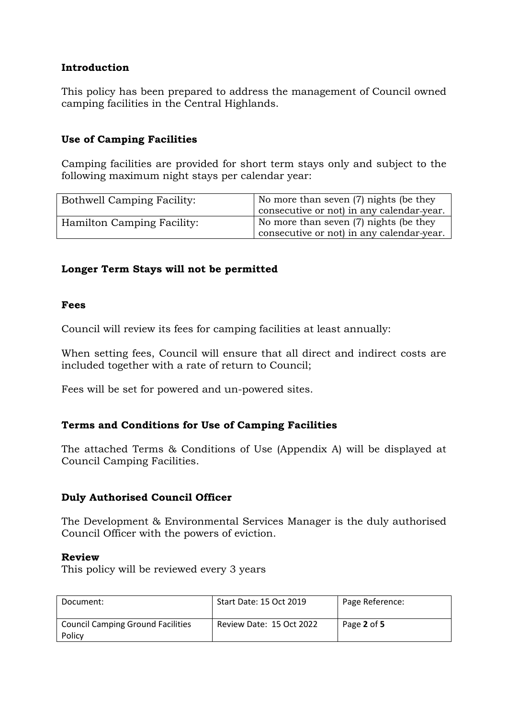# **Introduction**

This policy has been prepared to address the management of Council owned camping facilities in the Central Highlands.

# **Use of Camping Facilities**

Camping facilities are provided for short term stays only and subject to the following maximum night stays per calendar year:

| <b>Bothwell Camping Facility:</b> | No more than seven (7) nights (be they    |  |
|-----------------------------------|-------------------------------------------|--|
|                                   | consecutive or not) in any calendar-year. |  |
| Hamilton Camping Facility:        | No more than seven (7) nights (be they    |  |
|                                   | consecutive or not) in any calendar-year. |  |

# **Longer Term Stays will not be permitted**

# **Fees**

Council will review its fees for camping facilities at least annually:

When setting fees, Council will ensure that all direct and indirect costs are included together with a rate of return to Council;

Fees will be set for powered and un-powered sites.

# **Terms and Conditions for Use of Camping Facilities**

The attached Terms & Conditions of Use (Appendix A) will be displayed at Council Camping Facilities.

# **Duly Authorised Council Officer**

The Development & Environmental Services Manager is the duly authorised Council Officer with the powers of eviction.

# **Review**

This policy will be reviewed every 3 years

| Document:                                          | Start Date: 15 Oct 2019  | Page Reference: |
|----------------------------------------------------|--------------------------|-----------------|
| <b>Council Camping Ground Facilities</b><br>Policy | Review Date: 15 Oct 2022 | Page 2 of 5     |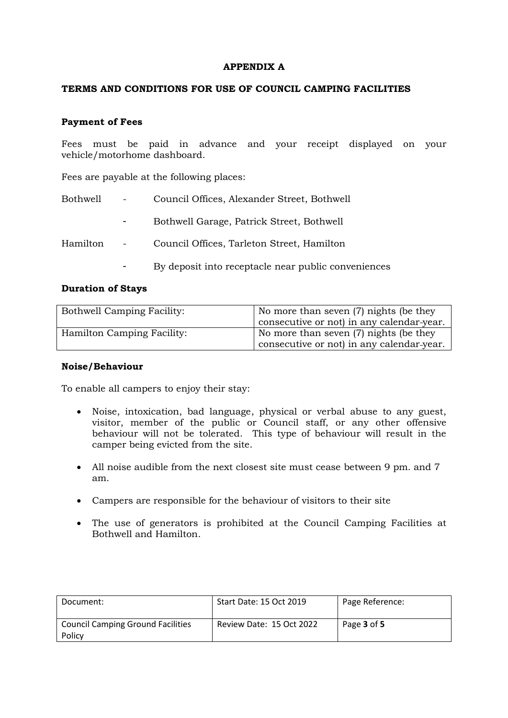### **APPENDIX A**

#### **TERMS AND CONDITIONS FOR USE OF COUNCIL CAMPING FACILITIES**

#### **Payment of Fees**

Fees must be paid in advance and your receipt displayed on your vehicle/motorhome dashboard.

Fees are payable at the following places:

| Bothwell | $\sim$ 100 $\mu$                                    | Council Offices, Alexander Street, Bothwell         |
|----------|-----------------------------------------------------|-----------------------------------------------------|
|          |                                                     | Bothwell Garage, Patrick Street, Bothwell           |
| Hamilton | $\frac{1}{2}$ and $\frac{1}{2}$ . The $\frac{1}{2}$ | Council Offices, Tarleton Street, Hamilton          |
|          |                                                     | By deposit into receptacle near public conveniences |

#### **Duration of Stays**

| <b>Bothwell Camping Facility:</b> | No more than seven (7) nights (be they    |  |
|-----------------------------------|-------------------------------------------|--|
|                                   | consecutive or not) in any calendar-year. |  |
| <b>Hamilton Camping Facility:</b> | No more than seven (7) nights (be they    |  |
|                                   | consecutive or not) in any calendar-year. |  |

#### **Noise/Behaviour**

To enable all campers to enjoy their stay:

- Noise, intoxication, bad language, physical or verbal abuse to any guest, visitor, member of the public or Council staff, or any other offensive behaviour will not be tolerated. This type of behaviour will result in the camper being evicted from the site.
- All noise audible from the next closest site must cease between 9 pm. and 7 am.
- Campers are responsible for the behaviour of visitors to their site
- The use of generators is prohibited at the Council Camping Facilities at Bothwell and Hamilton.

| Document:                                          | Start Date: 15 Oct 2019  | Page Reference: |
|----------------------------------------------------|--------------------------|-----------------|
| <b>Council Camping Ground Facilities</b><br>Policy | Review Date: 15 Oct 2022 | Page 3 of 5     |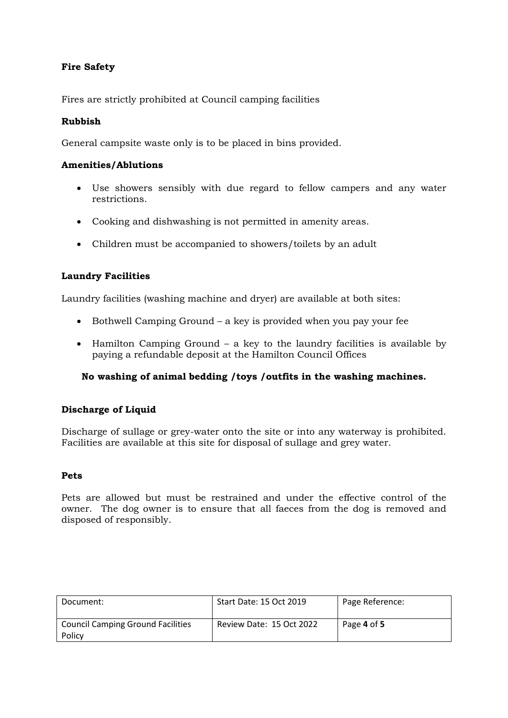# **Fire Safety**

Fires are strictly prohibited at Council camping facilities

## **Rubbish**

General campsite waste only is to be placed in bins provided.

### **Amenities/Ablutions**

- Use showers sensibly with due regard to fellow campers and any water restrictions.
- Cooking and dishwashing is not permitted in amenity areas.
- Children must be accompanied to showers/toilets by an adult

# **Laundry Facilities**

Laundry facilities (washing machine and dryer) are available at both sites:

- Bothwell Camping Ground a key is provided when you pay your fee
- Hamilton Camping Ground a key to the laundry facilities is available by paying a refundable deposit at the Hamilton Council Offices

### **No washing of animal bedding /toys /outfits in the washing machines.**

### **Discharge of Liquid**

Discharge of sullage or grey-water onto the site or into any waterway is prohibited. Facilities are available at this site for disposal of sullage and grey water.

### **Pets**

Pets are allowed but must be restrained and under the effective control of the owner. The dog owner is to ensure that all faeces from the dog is removed and disposed of responsibly.

| Document:                                          | Start Date: 15 Oct 2019  | Page Reference: |
|----------------------------------------------------|--------------------------|-----------------|
| <b>Council Camping Ground Facilities</b><br>Policy | Review Date: 15 Oct 2022 | Page 4 of 5     |